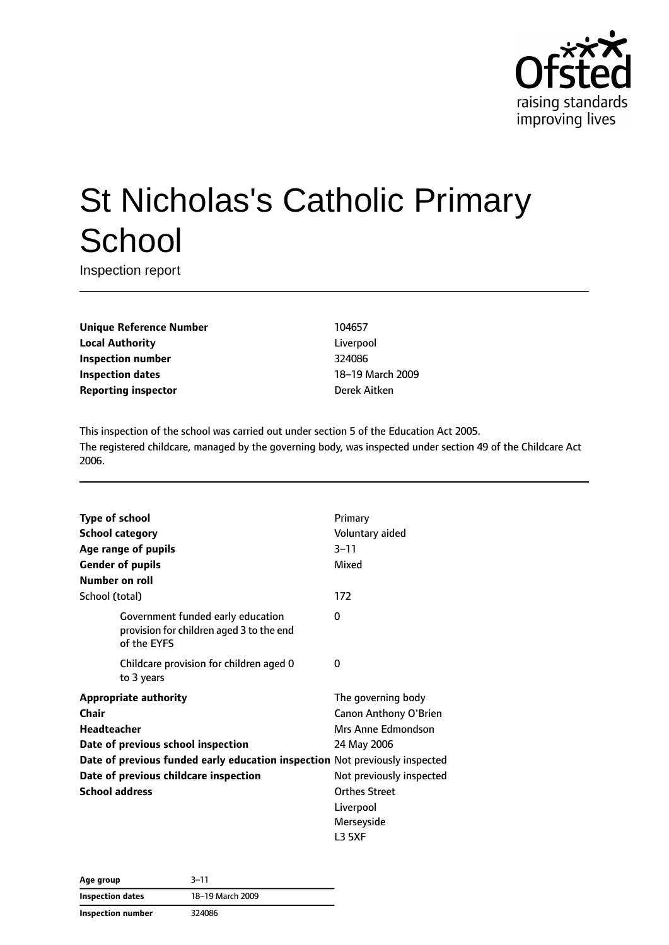

# St Nicholas's Catholic Primary **School**

Inspection report

**Unique Reference Number** 104657 **Local Authority** Liverpool **Inspection number** 324086 **Inspection dates** 18–19 March 2009 **Reporting inspector Derek Aitken** 

This inspection of the school was carried out under section 5 of the Education Act 2005. The registered childcare, managed by the governing body, was inspected under section 49 of the Childcare Act 2006.

| <b>Type of school</b><br><b>School category</b><br>Age range of pupils<br><b>Gender of pupils</b><br>Number on roll                                                                                                                         | Primary<br>Voluntary aided<br>$3 - 11$<br>Mixed                                                                                                                                  |
|---------------------------------------------------------------------------------------------------------------------------------------------------------------------------------------------------------------------------------------------|----------------------------------------------------------------------------------------------------------------------------------------------------------------------------------|
| School (total)                                                                                                                                                                                                                              | 172                                                                                                                                                                              |
| Government funded early education<br>provision for children aged 3 to the end<br>of the EYFS                                                                                                                                                | 0                                                                                                                                                                                |
| Childcare provision for children aged 0<br>to 3 years                                                                                                                                                                                       | O                                                                                                                                                                                |
| <b>Appropriate authority</b><br>Chair<br>Headteacher<br>Date of previous school inspection<br>Date of previous funded early education inspection Not previously inspected<br>Date of previous childcare inspection<br><b>School address</b> | The governing body<br>Canon Anthony O'Brien<br>Mrs Anne Edmondson<br>24 May 2006<br>Not previously inspected<br><b>Orthes Street</b><br>Liverpool<br>Merseyside<br><b>L3 5XF</b> |

| Age group         | $3 - 11$         |
|-------------------|------------------|
| Inspection dates  | 18-19 March 2009 |
| Inspection number | 324086           |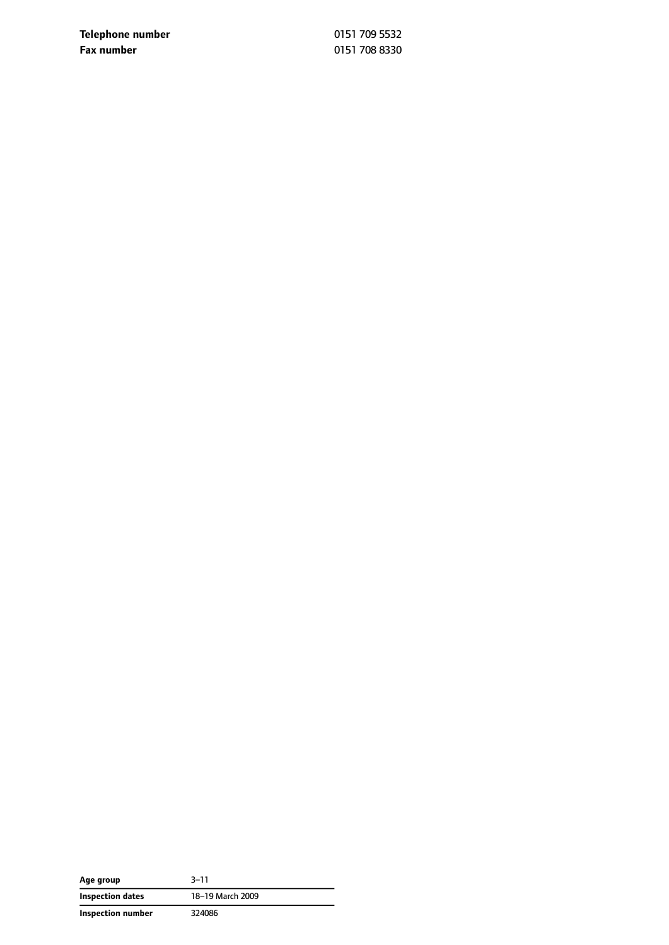**Telephone number** 0151 709 5532 **Fax number** 0151 708 8330

| Age group         | $3 - 11$         |
|-------------------|------------------|
| Inspection dates  | 18-19 March 2009 |
| Inspection number | 324086           |

 $\overline{\phantom{0}}$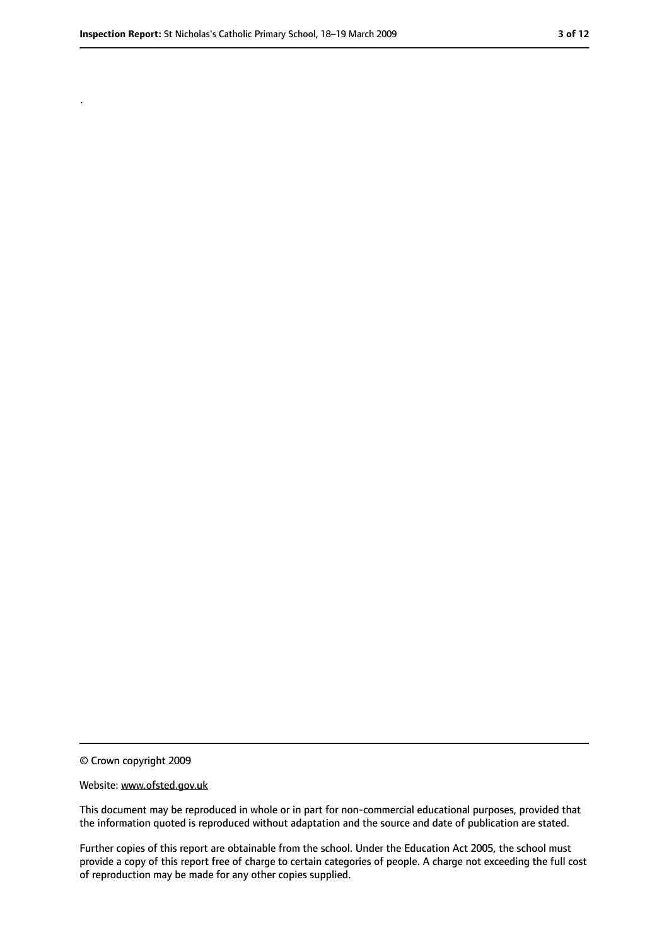.

<sup>©</sup> Crown copyright 2009

Website: www.ofsted.gov.uk

This document may be reproduced in whole or in part for non-commercial educational purposes, provided that the information quoted is reproduced without adaptation and the source and date of publication are stated.

Further copies of this report are obtainable from the school. Under the Education Act 2005, the school must provide a copy of this report free of charge to certain categories of people. A charge not exceeding the full cost of reproduction may be made for any other copies supplied.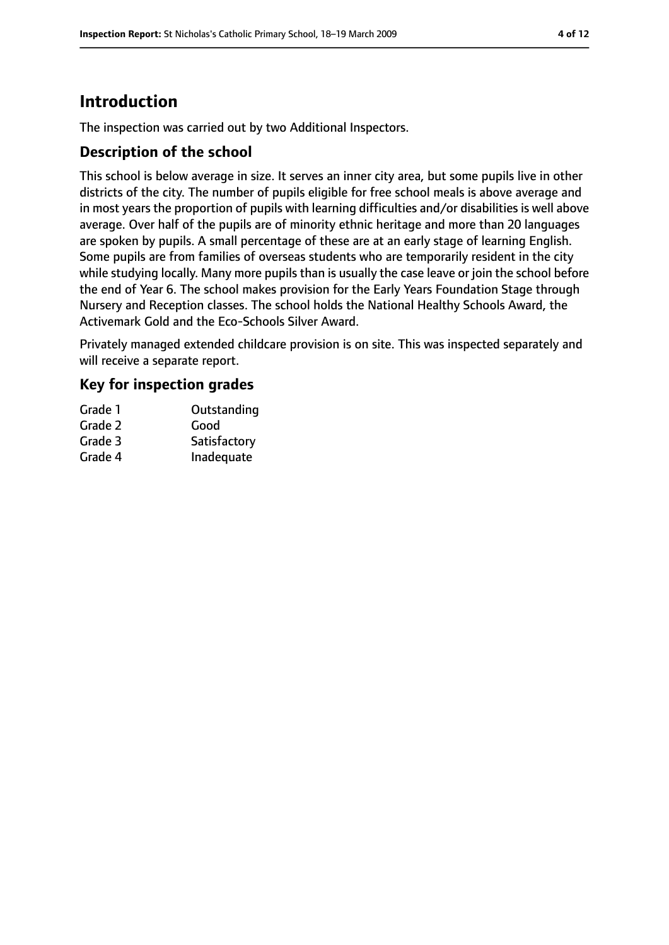# **Introduction**

The inspection was carried out by two Additional Inspectors.

#### **Description of the school**

This school is below average in size. It serves an inner city area, but some pupils live in other districts of the city. The number of pupils eligible for free school meals is above average and in most years the proportion of pupils with learning difficulties and/or disabilities is well above average. Over half of the pupils are of minority ethnic heritage and more than 20 languages are spoken by pupils. A small percentage of these are at an early stage of learning English. Some pupils are from families of overseas students who are temporarily resident in the city while studying locally. Many more pupils than is usually the case leave or join the school before the end of Year 6. The school makes provision for the Early Years Foundation Stage through Nursery and Reception classes. The school holds the National Healthy Schools Award, the Activemark Gold and the Eco-Schools Silver Award.

Privately managed extended childcare provision is on site. This was inspected separately and will receive a separate report.

#### **Key for inspection grades**

| Grade 1 | Outstanding  |
|---------|--------------|
| Grade 2 | Good         |
| Grade 3 | Satisfactory |
| Grade 4 | Inadequate   |
|         |              |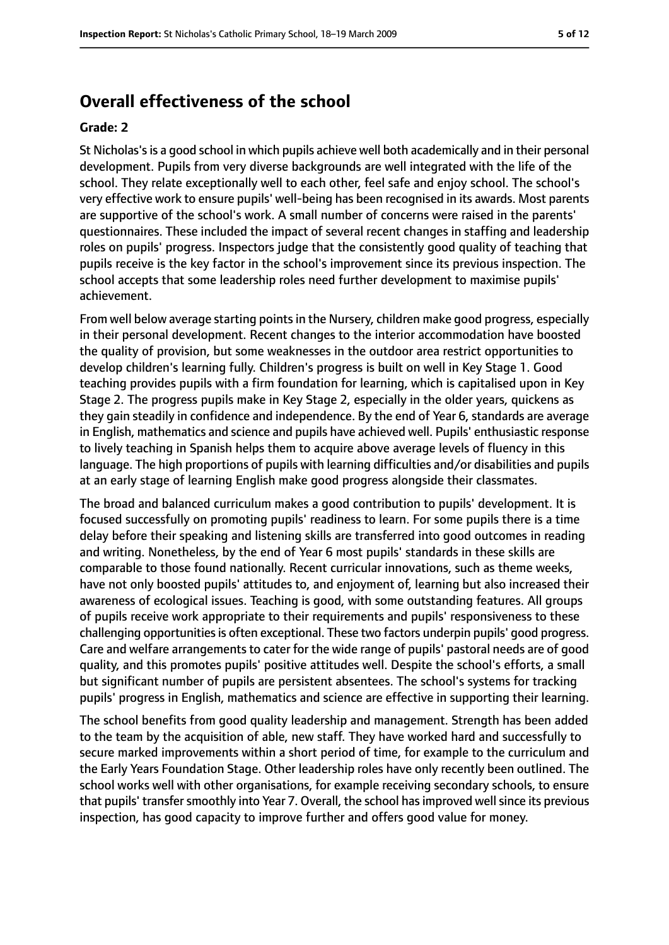## **Overall effectiveness of the school**

#### **Grade: 2**

St Nicholas'sis a good school in which pupils achieve well both academically and in their personal development. Pupils from very diverse backgrounds are well integrated with the life of the school. They relate exceptionally well to each other, feel safe and enjoy school. The school's very effective work to ensure pupils' well-being has been recognised in its awards. Most parents are supportive of the school's work. A small number of concerns were raised in the parents' questionnaires. These included the impact of several recent changes in staffing and leadership roles on pupils' progress. Inspectors judge that the consistently good quality of teaching that pupils receive is the key factor in the school's improvement since its previous inspection. The school accepts that some leadership roles need further development to maximise pupils' achievement.

From well below average starting points in the Nursery, children make good progress, especially in their personal development. Recent changes to the interior accommodation have boosted the quality of provision, but some weaknesses in the outdoor area restrict opportunities to develop children's learning fully. Children's progress is built on well in Key Stage 1. Good teaching provides pupils with a firm foundation for learning, which is capitalised upon in Key Stage 2. The progress pupils make in Key Stage 2, especially in the older years, quickens as they gain steadily in confidence and independence. By the end of Year 6, standards are average in English, mathematics and science and pupils have achieved well. Pupils' enthusiastic response to lively teaching in Spanish helps them to acquire above average levels of fluency in this language. The high proportions of pupils with learning difficulties and/or disabilities and pupils at an early stage of learning English make good progress alongside their classmates.

The broad and balanced curriculum makes a good contribution to pupils' development. It is focused successfully on promoting pupils' readiness to learn. For some pupils there is a time delay before their speaking and listening skills are transferred into good outcomes in reading and writing. Nonetheless, by the end of Year 6 most pupils' standards in these skills are comparable to those found nationally. Recent curricular innovations, such as theme weeks, have not only boosted pupils' attitudes to, and enjoyment of, learning but also increased their awareness of ecological issues. Teaching is good, with some outstanding features. All groups of pupils receive work appropriate to their requirements and pupils' responsiveness to these challenging opportunities is often exceptional. These two factors underpin pupils' good progress. Care and welfare arrangements to cater for the wide range of pupils' pastoral needs are of good quality, and this promotes pupils' positive attitudes well. Despite the school's efforts, a small but significant number of pupils are persistent absentees. The school's systems for tracking pupils' progress in English, mathematics and science are effective in supporting their learning.

The school benefits from good quality leadership and management. Strength has been added to the team by the acquisition of able, new staff. They have worked hard and successfully to secure marked improvements within a short period of time, for example to the curriculum and the Early Years Foundation Stage. Other leadership roles have only recently been outlined. The school works well with other organisations, for example receiving secondary schools, to ensure that pupils' transfer smoothly into Year 7. Overall, the school has improved well since its previous inspection, has good capacity to improve further and offers good value for money.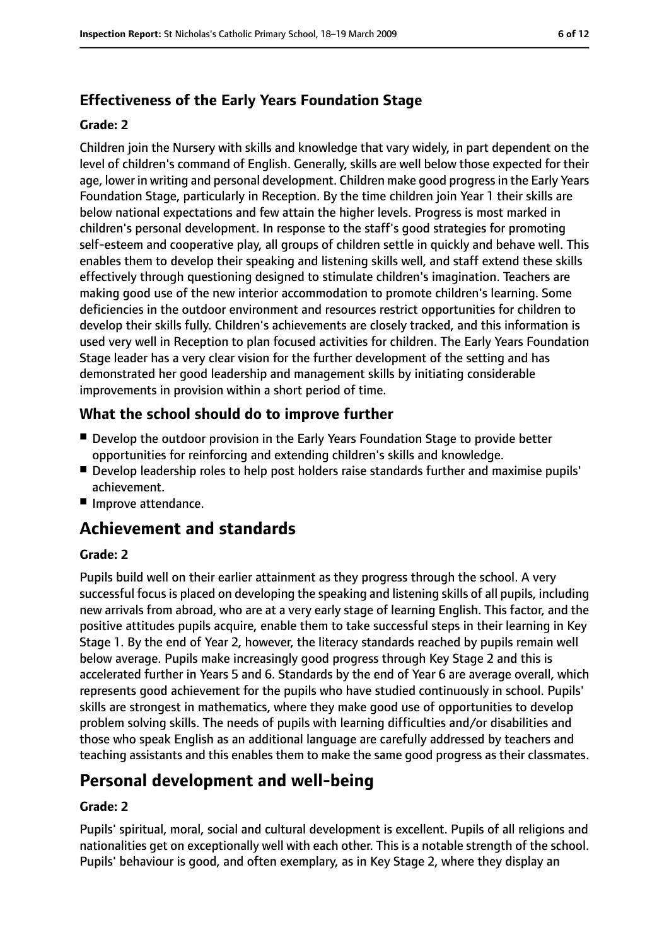## **Effectiveness of the Early Years Foundation Stage**

#### **Grade: 2**

Children join the Nursery with skills and knowledge that vary widely, in part dependent on the level of children's command of English. Generally, skills are well below those expected for their age, lower in writing and personal development. Children make good progressin the Early Years Foundation Stage, particularly in Reception. By the time children join Year 1 their skills are below national expectations and few attain the higher levels. Progress is most marked in children's personal development. In response to the staff's good strategies for promoting self-esteem and cooperative play, all groups of children settle in quickly and behave well. This enables them to develop their speaking and listening skills well, and staff extend these skills effectively through questioning designed to stimulate children's imagination. Teachers are making good use of the new interior accommodation to promote children's learning. Some deficiencies in the outdoor environment and resources restrict opportunities for children to develop their skills fully. Children's achievements are closely tracked, and this information is used very well in Reception to plan focused activities for children. The Early Years Foundation Stage leader has a very clear vision for the further development of the setting and has demonstrated her good leadership and management skills by initiating considerable improvements in provision within a short period of time.

#### **What the school should do to improve further**

- Develop the outdoor provision in the Early Years Foundation Stage to provide better opportunities for reinforcing and extending children's skills and knowledge.
- Develop leadership roles to help post holders raise standards further and maximise pupils' achievement.
- Improve attendance.

## **Achievement and standards**

#### **Grade: 2**

Pupils build well on their earlier attainment as they progress through the school. A very successful focus is placed on developing the speaking and listening skills of all pupils, including new arrivals from abroad, who are at a very early stage of learning English. This factor, and the positive attitudes pupils acquire, enable them to take successful steps in their learning in Key Stage 1. By the end of Year 2, however, the literacy standards reached by pupils remain well below average. Pupils make increasingly good progress through Key Stage 2 and this is accelerated further in Years 5 and 6. Standards by the end of Year 6 are average overall, which represents good achievement for the pupils who have studied continuously in school. Pupils' skills are strongest in mathematics, where they make good use of opportunities to develop problem solving skills. The needs of pupils with learning difficulties and/or disabilities and those who speak English as an additional language are carefully addressed by teachers and teaching assistants and this enables them to make the same good progress as their classmates.

## **Personal development and well-being**

#### **Grade: 2**

Pupils' spiritual, moral, social and cultural development is excellent. Pupils of all religions and nationalities get on exceptionally well with each other. This is a notable strength of the school. Pupils' behaviour is good, and often exemplary, as in Key Stage 2, where they display an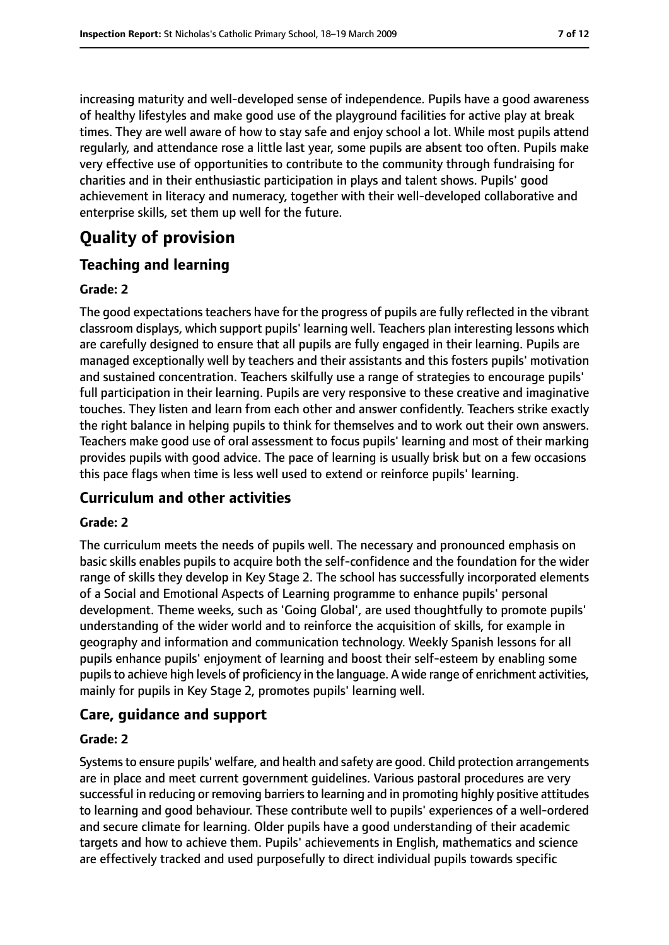increasing maturity and well-developed sense of independence. Pupils have a good awareness of healthy lifestyles and make good use of the playground facilities for active play at break times. They are well aware of how to stay safe and enjoy school a lot. While most pupils attend regularly, and attendance rose a little last year, some pupils are absent too often. Pupils make very effective use of opportunities to contribute to the community through fundraising for charities and in their enthusiastic participation in plays and talent shows. Pupils' good achievement in literacy and numeracy, together with their well-developed collaborative and enterprise skills, set them up well for the future.

# **Quality of provision**

#### **Teaching and learning**

#### **Grade: 2**

The good expectations teachers have for the progress of pupils are fully reflected in the vibrant classroom displays, which support pupils' learning well. Teachers plan interesting lessons which are carefully designed to ensure that all pupils are fully engaged in their learning. Pupils are managed exceptionally well by teachers and their assistants and this fosters pupils' motivation and sustained concentration. Teachers skilfully use a range of strategies to encourage pupils' full participation in their learning. Pupils are very responsive to these creative and imaginative touches. They listen and learn from each other and answer confidently. Teachers strike exactly the right balance in helping pupils to think for themselves and to work out their own answers. Teachers make good use of oral assessment to focus pupils' learning and most of their marking provides pupils with good advice. The pace of learning is usually brisk but on a few occasions this pace flags when time is less well used to extend or reinforce pupils' learning.

#### **Curriculum and other activities**

#### **Grade: 2**

The curriculum meets the needs of pupils well. The necessary and pronounced emphasis on basic skills enables pupils to acquire both the self-confidence and the foundation for the wider range of skills they develop in Key Stage 2. The school has successfully incorporated elements of a Social and Emotional Aspects of Learning programme to enhance pupils' personal development. Theme weeks, such as 'Going Global', are used thoughtfully to promote pupils' understanding of the wider world and to reinforce the acquisition of skills, for example in geography and information and communication technology. Weekly Spanish lessons for all pupils enhance pupils' enjoyment of learning and boost their self-esteem by enabling some pupils to achieve high levels of proficiency in the language. A wide range of enrichment activities, mainly for pupils in Key Stage 2, promotes pupils' learning well.

#### **Care, guidance and support**

#### **Grade: 2**

Systems to ensure pupils' welfare, and health and safety are good. Child protection arrangements are in place and meet current government guidelines. Various pastoral procedures are very successful in reducing or removing barriers to learning and in promoting highly positive attitudes to learning and good behaviour. These contribute well to pupils' experiences of a well-ordered and secure climate for learning. Older pupils have a good understanding of their academic targets and how to achieve them. Pupils' achievements in English, mathematics and science are effectively tracked and used purposefully to direct individual pupils towards specific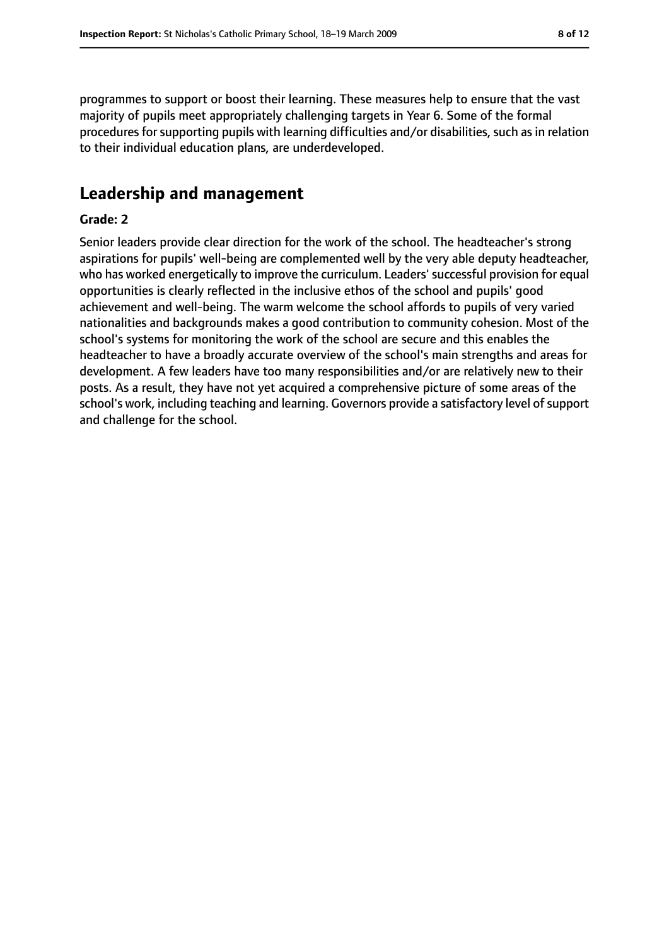programmes to support or boost their learning. These measures help to ensure that the vast majority of pupils meet appropriately challenging targets in Year 6. Some of the formal procedures for supporting pupils with learning difficulties and/or disabilities, such as in relation to their individual education plans, are underdeveloped.

## **Leadership and management**

#### **Grade: 2**

Senior leaders provide clear direction for the work of the school. The headteacher's strong aspirations for pupils' well-being are complemented well by the very able deputy headteacher, who has worked energetically to improve the curriculum. Leaders' successful provision for equal opportunities is clearly reflected in the inclusive ethos of the school and pupils' good achievement and well-being. The warm welcome the school affords to pupils of very varied nationalities and backgrounds makes a good contribution to community cohesion. Most of the school's systems for monitoring the work of the school are secure and this enables the headteacher to have a broadly accurate overview of the school's main strengths and areas for development. A few leaders have too many responsibilities and/or are relatively new to their posts. As a result, they have not yet acquired a comprehensive picture of some areas of the school's work, including teaching and learning. Governors provide a satisfactory level of support and challenge for the school.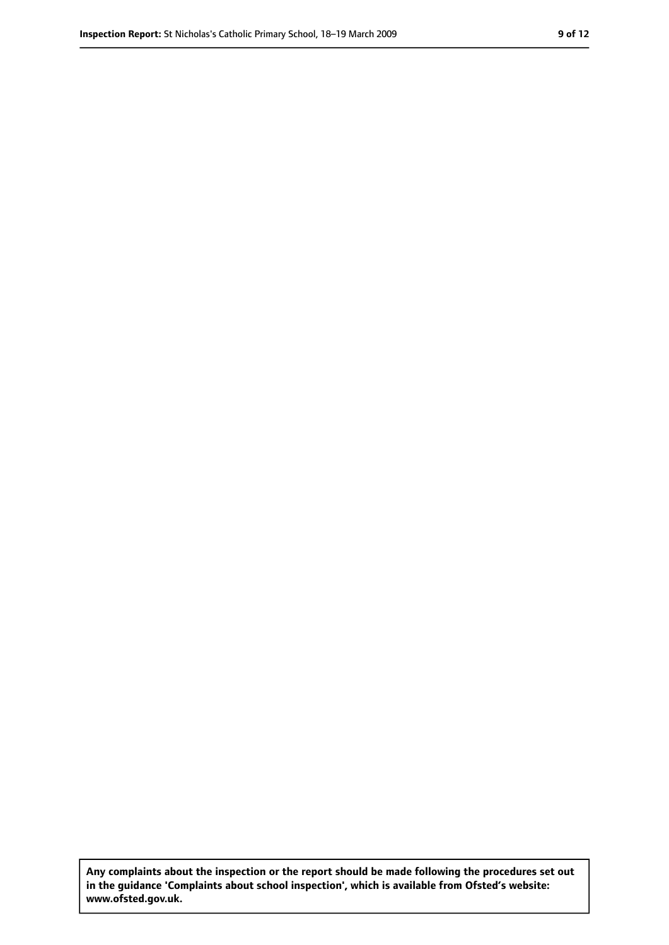**Any complaints about the inspection or the report should be made following the procedures set out in the guidance 'Complaints about school inspection', which is available from Ofsted's website: www.ofsted.gov.uk.**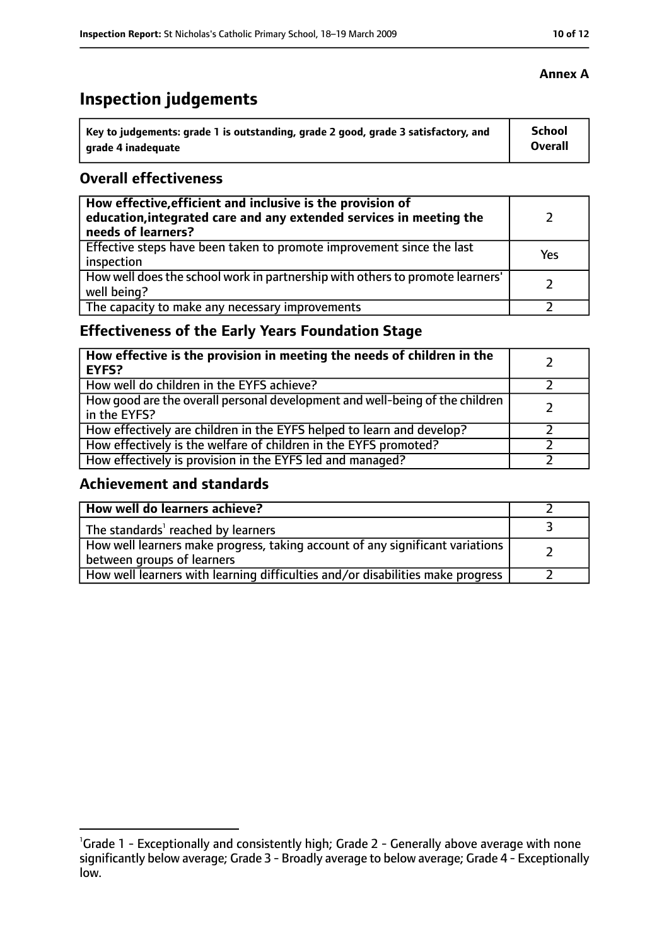# **Inspection judgements**

| Key to judgements: grade 1 is outstanding, grade 2 good, grade 3 satisfactory, and | <b>School</b>  |
|------------------------------------------------------------------------------------|----------------|
| arade 4 inadequate                                                                 | <b>Overall</b> |

#### **Overall effectiveness**

| How effective, efficient and inclusive is the provision of<br>education, integrated care and any extended services in meeting the<br>needs of learners? |     |
|---------------------------------------------------------------------------------------------------------------------------------------------------------|-----|
| Effective steps have been taken to promote improvement since the last<br>inspection                                                                     | Yes |
| How well does the school work in partnership with others to promote learners'<br>well being?                                                            |     |
| The capacity to make any necessary improvements                                                                                                         |     |

## **Effectiveness of the Early Years Foundation Stage**

| How effective is the provision in meeting the needs of children in the<br><b>EYFS?</b>       |  |
|----------------------------------------------------------------------------------------------|--|
| How well do children in the EYFS achieve?                                                    |  |
| How good are the overall personal development and well-being of the children<br>in the EYFS? |  |
| How effectively are children in the EYFS helped to learn and develop?                        |  |
| How effectively is the welfare of children in the EYFS promoted?                             |  |
| How effectively is provision in the EYFS led and managed?                                    |  |

#### **Achievement and standards**

| How well do learners achieve?                                                                               |  |
|-------------------------------------------------------------------------------------------------------------|--|
| The standards <sup>1</sup> reached by learners                                                              |  |
| How well learners make progress, taking account of any significant variations<br>between groups of learners |  |
| How well learners with learning difficulties and/or disabilities make progress                              |  |

<sup>&</sup>lt;sup>1</sup>Grade 1 - Exceptionally and consistently high; Grade 2 - Generally above average with none significantly below average; Grade 3 - Broadly average to below average; Grade 4 - Exceptionally low.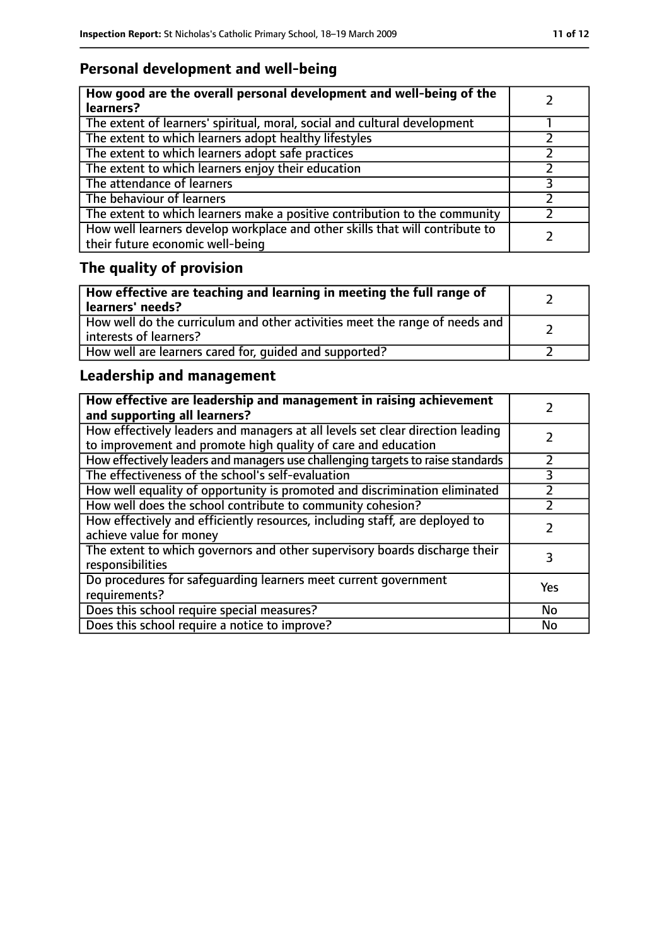## **Personal development and well-being**

| How good are the overall personal development and well-being of the<br>learners?                                 |  |
|------------------------------------------------------------------------------------------------------------------|--|
| The extent of learners' spiritual, moral, social and cultural development                                        |  |
| The extent to which learners adopt healthy lifestyles                                                            |  |
| The extent to which learners adopt safe practices                                                                |  |
| The extent to which learners enjoy their education                                                               |  |
| The attendance of learners                                                                                       |  |
| The behaviour of learners                                                                                        |  |
| The extent to which learners make a positive contribution to the community                                       |  |
| How well learners develop workplace and other skills that will contribute to<br>their future economic well-being |  |

# **The quality of provision**

| How effective are teaching and learning in meeting the full range of<br>learners' needs?              |  |
|-------------------------------------------------------------------------------------------------------|--|
| How well do the curriculum and other activities meet the range of needs and<br>interests of learners? |  |
| How well are learners cared for, quided and supported?                                                |  |

## **Leadership and management**

| How effective are leadership and management in raising achievement<br>and supporting all learners?                                              |     |
|-------------------------------------------------------------------------------------------------------------------------------------------------|-----|
| How effectively leaders and managers at all levels set clear direction leading<br>to improvement and promote high quality of care and education |     |
| How effectively leaders and managers use challenging targets to raise standards                                                                 |     |
| The effectiveness of the school's self-evaluation                                                                                               | 3   |
| How well equality of opportunity is promoted and discrimination eliminated                                                                      |     |
| How well does the school contribute to community cohesion?                                                                                      |     |
| How effectively and efficiently resources, including staff, are deployed to<br>achieve value for money                                          |     |
| The extent to which governors and other supervisory boards discharge their<br>responsibilities                                                  | 3   |
| Do procedures for safequarding learners meet current government<br>requirements?                                                                | Yes |
| Does this school require special measures?                                                                                                      | No  |
| Does this school require a notice to improve?                                                                                                   | No  |